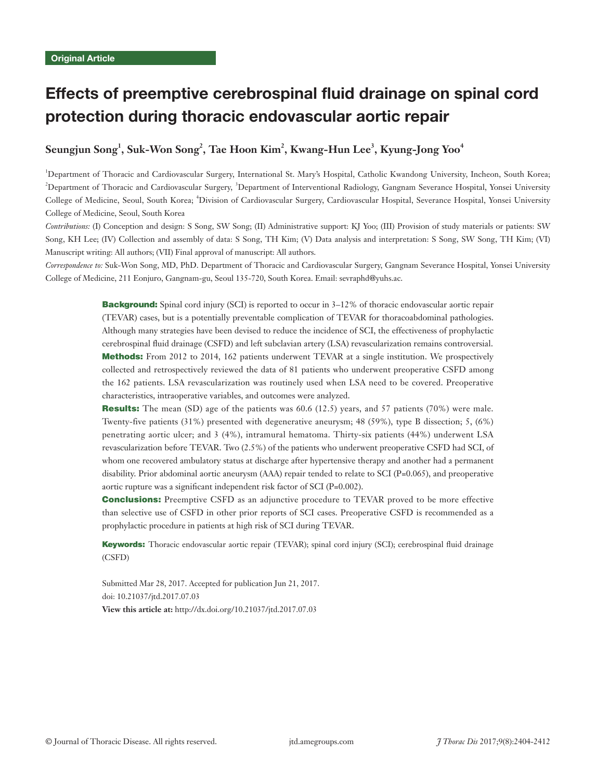# Effects of preemptive cerebrospinal fluid drainage on spinal cord protection during thoracic endovascular aortic repair

# $\mathbf{Se}$ ungjun  $\mathbf{Song}^1,\mathbf{Suk-Won}\ \mathbf{Song}^2,\ \mathbf{Tae}\ \mathbf{Hoon}\ \mathbf{Kim}^2,\ \mathbf{Kwang-Hun}\ \mathbf{Lee}^3,\ \mathbf{Kyung-Jong}\ \mathbf{Yoo}^4$

<sup>1</sup>Department of Thoracic and Cardiovascular Surgery, International St. Mary's Hospital, Catholic Kwandong University, Incheon, South Korea; <sup>2</sup>Department of Thoracic and Cardiovascular Surgery, <sup>3</sup>Department of Interventional Radiology, Gangnam Severance Hospital, Yonsei University College of Medicine, Seoul, South Korea; <sup>4</sup>Division of Cardiovascular Surgery, Cardiovascular Hospital, Severance Hospital, Yonsei University College of Medicine, Seoul, South Korea

*Contributions:* (I) Conception and design: S Song, SW Song; (II) Administrative support: KJ Yoo; (III) Provision of study materials or patients: SW Song, KH Lee; (IV) Collection and assembly of data: S Song, TH Kim; (V) Data analysis and interpretation: S Song, SW Song, TH Kim; (VI) Manuscript writing: All authors; (VII) Final approval of manuscript: All authors.

*Correspondence to:* Suk-Won Song, MD, PhD. Department of Thoracic and Cardiovascular Surgery, Gangnam Severance Hospital, Yonsei University College of Medicine, 211 Eonjuro, Gangnam-gu, Seoul 135-720, South Korea. Email: sevraphd@yuhs.ac.

> **Background:** Spinal cord injury (SCI) is reported to occur in 3–12% of thoracic endovascular aortic repair (TEVAR) cases, but is a potentially preventable complication of TEVAR for thoracoabdominal pathologies. Although many strategies have been devised to reduce the incidence of SCI, the effectiveness of prophylactic cerebrospinal fluid drainage (CSFD) and left subclavian artery (LSA) revascularization remains controversial. Methods: From 2012 to 2014, 162 patients underwent TEVAR at a single institution. We prospectively collected and retrospectively reviewed the data of 81 patients who underwent preoperative CSFD among the 162 patients. LSA revascularization was routinely used when LSA need to be covered. Preoperative characteristics, intraoperative variables, and outcomes were analyzed.

> Results: The mean (SD) age of the patients was 60.6 (12.5) years, and 57 patients (70%) were male. Twenty-five patients (31%) presented with degenerative aneurysm; 48 (59%), type B dissection; 5, (6%) penetrating aortic ulcer; and 3 (4%), intramural hematoma. Thirty-six patients (44%) underwent LSA revascularization before TEVAR. Two (2.5%) of the patients who underwent preoperative CSFD had SCI, of whom one recovered ambulatory status at discharge after hypertensive therapy and another had a permanent disability. Prior abdominal aortic aneurysm (AAA) repair tended to relate to SCI (P=0.065), and preoperative aortic rupture was a significant independent risk factor of SCI (P=0.002).

> **Conclusions:** Preemptive CSFD as an adjunctive procedure to TEVAR proved to be more effective than selective use of CSFD in other prior reports of SCI cases. Preoperative CSFD is recommended as a prophylactic procedure in patients at high risk of SCI during TEVAR.

> Keywords: Thoracic endovascular aortic repair (TEVAR); spinal cord injury (SCI); cerebrospinal fluid drainage (CSFD)

Submitted Mar 28, 2017. Accepted for publication Jun 21, 2017. doi: 10.21037/jtd.2017.07.03 **View this article at:** http://dx.doi.org/10.21037/jtd.2017.07.03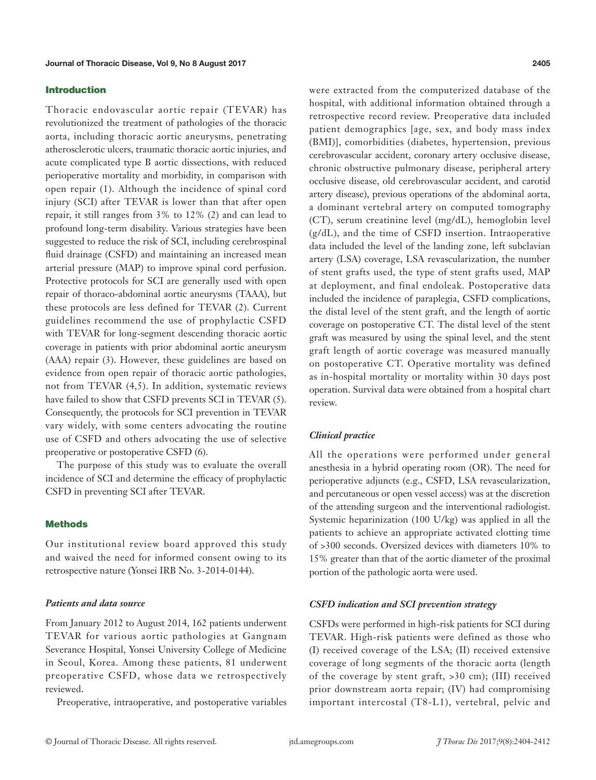#### Introduction

Thoracic endovascular aortic repair (TEVAR) has revolutionized the treatment of pathologies of the thoracic aorta, including thoracic aortic aneurysms, penetrating atherosclerotic ulcers, traumatic thoracic aortic injuries, and acute complicated type B aortic dissections, with reduced perioperative mortality and morbidity, in comparison with open repair (1). Although the incidence of spinal cord injury (SCI) after TEVAR is lower than that after open repair, it still ranges from 3% to 12% (2) and can lead to profound long-term disability. Various strategies have been suggested to reduce the risk of SCI, including cerebrospinal fluid drainage (CSFD) and maintaining an increased mean arterial pressure (MAP) to improve spinal cord perfusion. Protective protocols for SCI are generally used with open repair of thoraco-abdominal aortic aneurysms (TAAA), but these protocols are less defined for TEVAR (2). Current guidelines recommend the use of prophylactic CSFD with TEVAR for long-segment descending thoracic aortic coverage in patients with prior abdominal aortic aneurysm (AAA) repair (3). However, these guidelines are based on evidence from open repair of thoracic aortic pathologies, not from TEVAR (4,5). In addition, systematic reviews have failed to show that CSFD prevents SCI in TEVAR (5). Consequently, the protocols for SCI prevention in TEVAR vary widely, with some centers advocating the routine use of CSFD and others advocating the use of selective preoperative or postoperative CSFD (6).

The purpose of this study was to evaluate the overall incidence of SCI and determine the efficacy of prophylactic CSFD in preventing SCI after TEVAR.

### **Methods**

Our institutional review board approved this study and waived the need for informed consent owing to its retrospective nature (Yonsei IRB No. 3-2014-0144).

#### *Patients and data source*

From January 2012 to August 2014, 162 patients underwent TEVAR for various aortic pathologies at Gangnam Severance Hospital, Yonsei University College of Medicine in Seoul, Korea. Among these patients, 81 underwent preoperative CSFD, whose data we retrospectively reviewed.

Preoperative, intraoperative, and postoperative variables

were extracted from the computerized database of the hospital, with additional information obtained through a retrospective record review. Preoperative data included patient demographics [age, sex, and body mass index (BMI)], comorbidities (diabetes, hypertension, previous cerebrovascular accident, coronary artery occlusive disease, chronic obstructive pulmonary disease, peripheral artery occlusive disease, old cerebrovascular accident, and carotid artery disease), previous operations of the abdominal aorta, a dominant vertebral artery on computed tomography (CT), serum creatinine level (mg/dL), hemoglobin level (g/dL), and the time of CSFD insertion. Intraoperative data included the level of the landing zone, left subclavian artery (LSA) coverage, LSA revascularization, the number of stent grafts used, the type of stent grafts used, MAP at deployment, and final endoleak. Postoperative data included the incidence of paraplegia, CSFD complications, the distal level of the stent graft, and the length of aortic coverage on postoperative CT. The distal level of the stent graft was measured by using the spinal level, and the stent graft length of aortic coverage was measured manually on postoperative CT. Operative mortality was defined as in-hospital mortality or mortality within 30 days post operation. Survival data were obtained from a hospital chart review.

## *Clinical practice*

All the operations were performed under general anesthesia in a hybrid operating room (OR). The need for perioperative adjuncts (e.g., CSFD, LSA revascularization, and percutaneous or open vessel access) was at the discretion of the attending surgeon and the interventional radiologist. Systemic heparinization (100 U/kg) was applied in all the patients to achieve an appropriate activated clotting time of >300 seconds. Oversized devices with diameters 10% to 15% greater than that of the aortic diameter of the proximal portion of the pathologic aorta were used.

#### *CSFD indication and SCI prevention strategy*

CSFDs were performed in high-risk patients for SCI during TEVAR. High-risk patients were defined as those who (I) received coverage of the LSA; (II) received extensive coverage of long segments of the thoracic aorta (length of the coverage by stent graft, >30 cm); (III) received prior downstream aorta repair; (IV) had compromising important intercostal (T8-L1), vertebral, pelvic and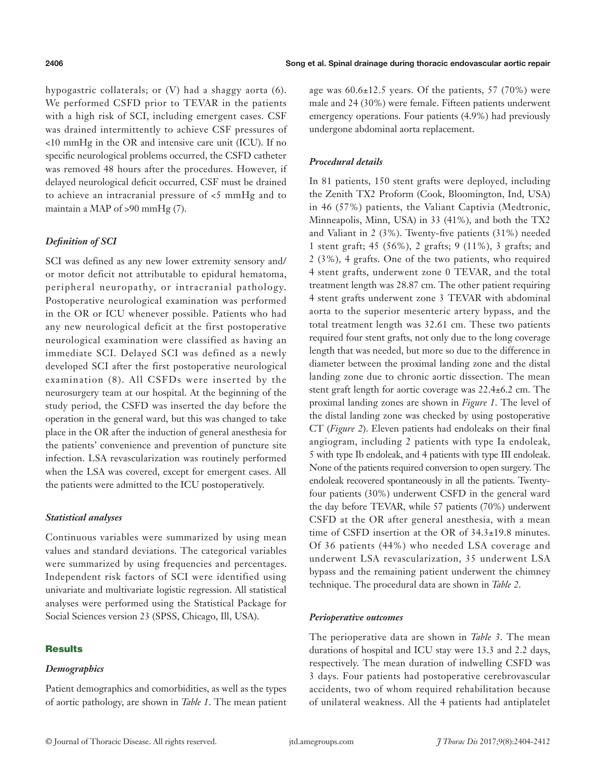hypogastric collaterals; or (V) had a shaggy aorta (6). We performed CSFD prior to TEVAR in the patients with a high risk of SCI, including emergent cases. CSF was drained intermittently to achieve CSF pressures of <10 mmHg in the OR and intensive care unit (ICU). If no specific neurological problems occurred, the CSFD catheter was removed 48 hours after the procedures. However, if delayed neurological deficit occurred, CSF must be drained to achieve an intracranial pressure of <5 mmHg and to maintain a MAP of >90 mmHg (7).

# *Definition of SCI*

SCI was defined as any new lower extremity sensory and/ or motor deficit not attributable to epidural hematoma, peripheral neuropathy, or intracranial pathology. Postoperative neurological examination was performed in the OR or ICU whenever possible. Patients who had any new neurological deficit at the first postoperative neurological examination were classified as having an immediate SCI. Delayed SCI was defined as a newly developed SCI after the first postoperative neurological examination (8). All CSFDs were inserted by the neurosurgery team at our hospital. At the beginning of the study period, the CSFD was inserted the day before the operation in the general ward, but this was changed to take place in the OR after the induction of general anesthesia for the patients' convenience and prevention of puncture site infection. LSA revascularization was routinely performed when the LSA was covered, except for emergent cases. All the patients were admitted to the ICU postoperatively.

# *Statistical analyses*

Continuous variables were summarized by using mean values and standard deviations. The categorical variables were summarized by using frequencies and percentages. Independent risk factors of SCI were identified using univariate and multivariate logistic regression. All statistical analyses were performed using the Statistical Package for Social Sciences version 23 (SPSS, Chicago, Ill, USA).

# **Results**

# *Demographics*

age was  $60.6\pm12.5$  years. Of the patients, 57 (70%) were male and 24 (30%) were female. Fifteen patients underwent emergency operations. Four patients (4.9%) had previously undergone abdominal aorta replacement.

# *Procedural details*

In 81 patients, 150 stent grafts were deployed, including the Zenith TX2 Proform (Cook, Bloomington, Ind, USA) in 46 (57%) patients, the Valiant Captivia (Medtronic, Minneapolis, Minn, USA) in 33 (41%), and both the TX2 and Valiant in 2 (3%). Twenty-five patients (31%) needed 1 stent graft; 45 (56%), 2 grafts; 9 (11%), 3 grafts; and 2 (3%), 4 grafts. One of the two patients, who required 4 stent grafts, underwent zone 0 TEVAR, and the total treatment length was 28.87 cm. The other patient requiring 4 stent grafts underwent zone 3 TEVAR with abdominal aorta to the superior mesenteric artery bypass, and the total treatment length was 32.61 cm. These two patients required four stent grafts, not only due to the long coverage length that was needed, but more so due to the difference in diameter between the proximal landing zone and the distal landing zone due to chronic aortic dissection. The mean stent graft length for aortic coverage was 22.4±6.2 cm. The proximal landing zones are shown in *Figure 1*. The level of the distal landing zone was checked by using postoperative CT (*Figure 2*). Eleven patients had endoleaks on their final angiogram, including 2 patients with type Ia endoleak, 5 with type Ib endoleak, and 4 patients with type III endoleak. None of the patients required conversion to open surgery. The endoleak recovered spontaneously in all the patients. Twentyfour patients (30%) underwent CSFD in the general ward the day before TEVAR, while 57 patients (70%) underwent CSFD at the OR after general anesthesia, with a mean time of CSFD insertion at the OR of 34.3±19.8 minutes. Of 36 patients (44%) who needed LSA coverage and underwent LSA revascularization, 35 underwent LSA bypass and the remaining patient underwent the chimney technique. The procedural data are shown in *Table 2*.

# *Perioperative outcomes*

The perioperative data are shown in *Table 3*. The mean durations of hospital and ICU stay were 13.3 and 2.2 days, respectively. The mean duration of indwelling CSFD was 3 days. Four patients had postoperative cerebrovascular accidents, two of whom required rehabilitation because of unilateral weakness. All the 4 patients had antiplatelet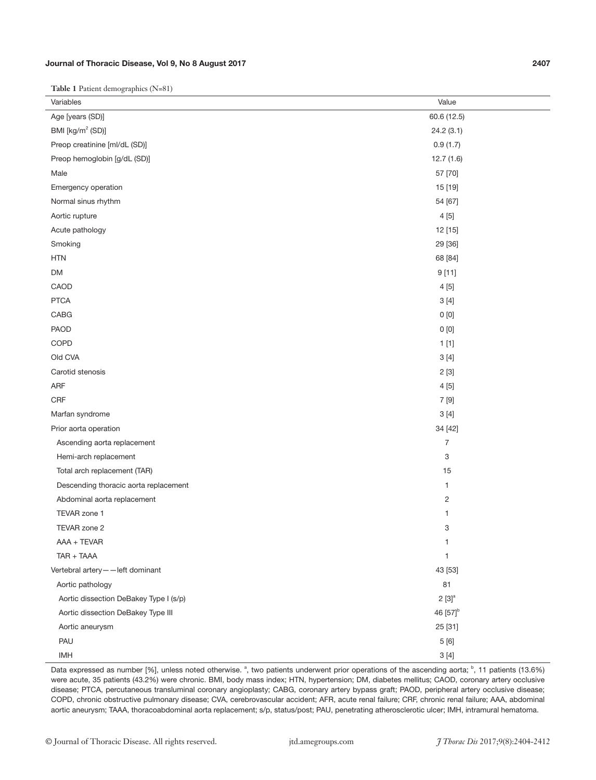## Journal of Thoracic Disease, Vol 9, No 8 August 2017 2407

**Table 1** Patient demographics (N=81)

| $\tilde{\phantom{a}}$                  |                      |
|----------------------------------------|----------------------|
| Variables                              | Value                |
| Age [years (SD)]                       | 60.6 (12.5)          |
| BMI [kg/m <sup>2</sup> (SD)]           | 24.2(3.1)            |
| Preop creatinine [ml/dL (SD)]          | 0.9(1.7)             |
| Preop hemoglobin [g/dL (SD)]           | 12.7(1.6)            |
| Male                                   | 57 [70]              |
| Emergency operation                    | 15 [19]              |
| Normal sinus rhythm                    | 54 [67]              |
| Aortic rupture                         | 4[5]                 |
| Acute pathology                        | 12 [15]              |
| Smoking                                | 29 [36]              |
| <b>HTN</b>                             | 68 [84]              |
| DM                                     | 9[11]                |
| CAOD                                   | 4[5]                 |
| <b>PTCA</b>                            | 3[4]                 |
| CABG                                   | 0[0]                 |
| PAOD                                   | 0[0]                 |
| COPD                                   | 1[1]                 |
| Old CVA                                | 3[4]                 |
| Carotid stenosis                       | 2[3]                 |
| ARF                                    | 4[5]                 |
| CRF                                    | 7 [9]                |
| Marfan syndrome                        | 3[4]                 |
| Prior aorta operation                  | 34 [42]              |
| Ascending aorta replacement            | 7                    |
| Hemi-arch replacement                  | 3                    |
| Total arch replacement (TAR)           | 15                   |
| Descending thoracic aorta replacement  | 1                    |
| Abdominal aorta replacement            | $\overline{c}$       |
| TEVAR zone 1                           | $\mathbf{1}$         |
| TEVAR zone 2                           | 3                    |
| AAA + TEVAR                            | 1                    |
| TAR + TAAA                             | 1                    |
| Vertebral artery--left dominant        | 43 [53]              |
| Aortic pathology                       | 81                   |
| Aortic dissection DeBakey Type I (s/p) | $2 [3]^{a}$          |
| Aortic dissection DeBakey Type III     | 46 [57] <sup>b</sup> |
| Aortic aneurysm                        | 25 [31]              |
| PAU                                    | 5 [6]                |
| <b>IMH</b>                             | $3[4]$               |

Data expressed as number [%], unless noted otherwise. <sup>a</sup>, two patients underwent prior operations of the ascending aorta; <sup>b</sup>, 11 patients (13.6%) were acute, 35 patients (43.2%) were chronic. BMI, body mass index; HTN, hypertension; DM, diabetes mellitus; CAOD, coronary artery occlusive disease; PTCA, percutaneous transluminal coronary angioplasty; CABG, coronary artery bypass graft; PAOD, peripheral artery occlusive disease; COPD, chronic obstructive pulmonary disease; CVA, cerebrovascular accident; AFR, acute renal failure; CRF, chronic renal failure; AAA, abdominal aortic aneurysm; TAAA, thoracoabdominal aorta replacement; s/p, status/post; PAU, penetrating atherosclerotic ulcer; IMH, intramural hematoma.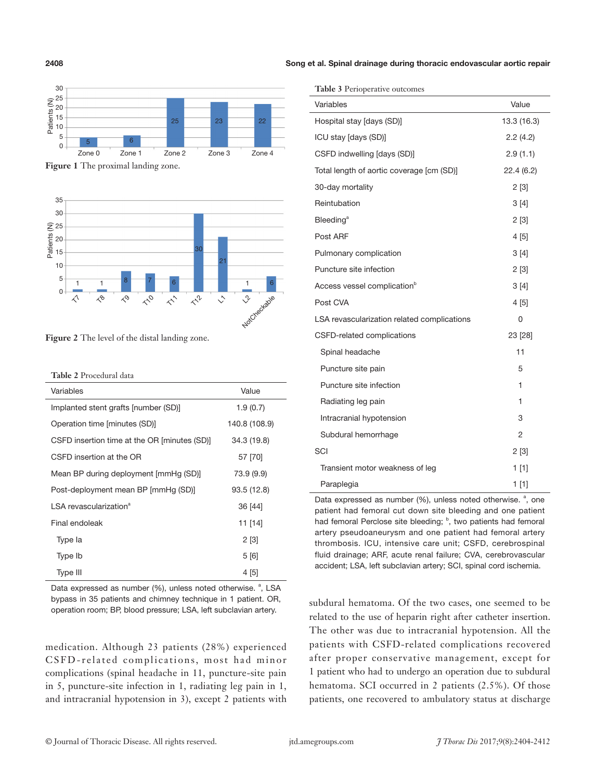

**Figure 1** The proximal landing zone.



**Figure 2** The level of the distal landing zone.

**Table 2** Procedural data

| Variables                                    | Value         |  |  |
|----------------------------------------------|---------------|--|--|
| Implanted stent grafts [number (SD)]         | 1.9(0.7)      |  |  |
| Operation time [minutes (SD)]                | 140.8 (108.9) |  |  |
| CSFD insertion time at the OR [minutes (SD)] | 34.3 (19.8)   |  |  |
| CSFD insertion at the OR                     | 57 [70]       |  |  |
| Mean BP during deployment [mmHg (SD)]        | 73.9 (9.9)    |  |  |
| Post-deployment mean BP [mmHg (SD)]          | 93.5 (12.8)   |  |  |
| LSA revascularization <sup>a</sup>           | 36 [44]       |  |  |
| Final endoleak                               | 11 [14]       |  |  |
| Type la                                      | 2[3]          |  |  |
| Type Ib                                      | 5[6]          |  |  |
| Type III                                     | 4 [5]         |  |  |

Data expressed as number (%), unless noted otherwise. <sup>a</sup>, LSA bypass in 35 patients and chimney technique in 1 patient. OR, operation room; BP, blood pressure; LSA, left subclavian artery.

medication. Although 23 patients (28%) experienced CSFD-related complications, most had minor complications (spinal headache in 11, puncture-site pain in 5, puncture-site infection in 1, radiating leg pain in 1, and intracranial hypotension in 3), except 2 patients with

2408 Song et al. Spinal drainage during thoracic endovascular aortic repair

|  | Table 3 Perioperative outcomes |  |
|--|--------------------------------|--|
|--|--------------------------------|--|

| <b>Table</b> $\sigma$ I emperative outcomes |                |  |  |
|---------------------------------------------|----------------|--|--|
| Variables                                   | Value          |  |  |
| Hospital stay [days (SD)]                   | 13.3 (16.3)    |  |  |
| ICU stay [days (SD)]                        | 2.2(4.2)       |  |  |
| CSFD indwelling [days (SD)]                 | 2.9(1.1)       |  |  |
| Total length of aortic coverage [cm (SD)]   | 22.4(6.2)      |  |  |
| 30-day mortality                            | 2[3]           |  |  |
| Reintubation                                | 3[4]           |  |  |
| <b>Bleeding<sup>a</sup></b>                 | 2[3]           |  |  |
| Post ARF                                    | 4[5]           |  |  |
| Pulmonary complication                      | 3[4]           |  |  |
| Puncture site infection                     | 2[3]           |  |  |
| Access vessel complication <sup>b</sup>     | 3[4]           |  |  |
| Post CVA                                    | 4 [5]          |  |  |
| LSA revascularization related complications | 0              |  |  |
| CSFD-related complications                  | 23 [28]        |  |  |
| Spinal headache                             | 11             |  |  |
| Puncture site pain                          | 5              |  |  |
| Puncture site infection                     | 1              |  |  |
| Radiating leg pain                          | 1              |  |  |
| Intracranial hypotension                    | 3              |  |  |
| Subdural hemorrhage                         | $\overline{2}$ |  |  |
| SCI                                         | 2[3]           |  |  |
| Transient motor weakness of leg             | 1[1]           |  |  |
| Paraplegia                                  | $1$ [1]        |  |  |

Data expressed as number (%), unless noted otherwise. <sup>a</sup>, one patient had femoral cut down site bleeding and one patient had femoral Perclose site bleeding; <sup>b</sup>, two patients had femoral artery pseudoaneurysm and one patient had femoral artery thrombosis. ICU, intensive care unit; CSFD, cerebrospinal fluid drainage; ARF, acute renal failure; CVA, cerebrovascular accident; LSA, left subclavian artery; SCI, spinal cord ischemia.

subdural hematoma. Of the two cases, one seemed to be related to the use of heparin right after catheter insertion. The other was due to intracranial hypotension. All the patients with CSFD-related complications recovered after proper conservative management, except for 1 patient who had to undergo an operation due to subdural hematoma. SCI occurred in 2 patients (2.5%). Of those patients, one recovered to ambulatory status at discharge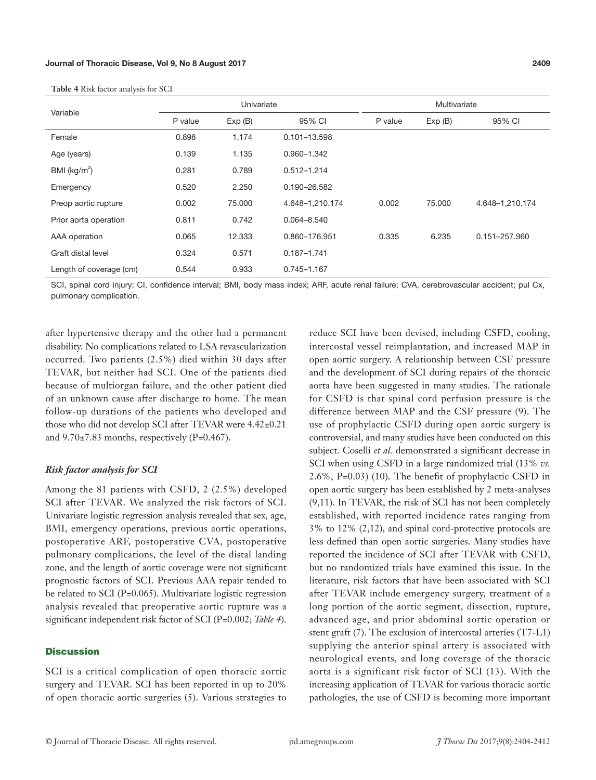| Variable                | Univariate |        |                  | Multivariate |        |                 |
|-------------------------|------------|--------|------------------|--------------|--------|-----------------|
|                         | P value    | Exp(B) | 95% CI           | P value      | Exp(B) | 95% CI          |
| Female                  | 0.898      | 1.174  | $0.101 - 13.598$ |              |        |                 |
| Age (years)             | 0.139      | 1.135  | 0.960-1.342      |              |        |                 |
| BMI ( $kg/m2$ )         | 0.281      | 0.789  | $0.512 - 1.214$  |              |        |                 |
| Emergency               | 0.520      | 2.250  | 0.190-26.582     |              |        |                 |
| Preop aortic rupture    | 0.002      | 75,000 | 4.648-1,210.174  | 0.002        | 75,000 | 4.648-1,210.174 |
| Prior aorta operation   | 0.811      | 0.742  | $0.064 - 8.540$  |              |        |                 |
| AAA operation           | 0.065      | 12.333 | 0.860-176.951    | 0.335        | 6.235  | 0.151-257.960   |
| Graft distal level      | 0.324      | 0.571  | $0.187 - 1.741$  |              |        |                 |
| Length of coverage (cm) | 0.544      | 0.933  | $0.745 - 1.167$  |              |        |                 |

**Table 4** Risk factor analysis for SCI

SCI, spinal cord injury; CI, confidence interval; BMI, body mass index; ARF, acute renal failure; CVA, cerebrovascular accident; pul Cx, pulmonary complication.

after hypertensive therapy and the other had a permanent disability. No complications related to LSA revascularization occurred. Two patients (2.5%) died within 30 days after TEVAR, but neither had SCI. One of the patients died because of multiorgan failure, and the other patient died of an unknown cause after discharge to home. The mean follow-up durations of the patients who developed and those who did not develop SCI after TEVAR were 4.42±0.21 and  $9.70\pm7.83$  months, respectively (P=0.467).

# *Risk factor analysis for SCI*

Among the 81 patients with CSFD, 2 (2.5%) developed SCI after TEVAR. We analyzed the risk factors of SCI. Univariate logistic regression analysis revealed that sex, age, BMI, emergency operations, previous aortic operations, postoperative ARF, postoperative CVA, postoperative pulmonary complications, the level of the distal landing zone, and the length of aortic coverage were not significant prognostic factors of SCI. Previous AAA repair tended to be related to SCI (P=0.065). Multivariate logistic regression analysis revealed that preoperative aortic rupture was a significant independent risk factor of SCI (P=0.002; *Table 4*).

#### **Discussion**

SCI is a critical complication of open thoracic aortic surgery and TEVAR. SCI has been reported in up to 20% of open thoracic aortic surgeries (5). Various strategies to

reduce SCI have been devised, including CSFD, cooling, intercostal vessel reimplantation, and increased MAP in open aortic surgery. A relationship between CSF pressure and the development of SCI during repairs of the thoracic aorta have been suggested in many studies. The rationale for CSFD is that spinal cord perfusion pressure is the difference between MAP and the CSF pressure (9). The use of prophylactic CSFD during open aortic surgery is controversial, and many studies have been conducted on this subject. Coselli *et al.* demonstrated a significant decrease in SCI when using CSFD in a large randomized trial (13% *vs.* 2.6%, P=0.03) (10). The benefit of prophylactic CSFD in open aortic surgery has been established by 2 meta-analyses (9,11). In TEVAR, the risk of SCI has not been completely established, with reported incidence rates ranging from 3% to 12% (2,12), and spinal cord-protective protocols are less defined than open aortic surgeries. Many studies have reported the incidence of SCI after TEVAR with CSFD, but no randomized trials have examined this issue. In the literature, risk factors that have been associated with SCI after TEVAR include emergency surgery, treatment of a long portion of the aortic segment, dissection, rupture, advanced age, and prior abdominal aortic operation or stent graft (7). The exclusion of intercostal arteries (T7-L1) supplying the anterior spinal artery is associated with neurological events, and long coverage of the thoracic aorta is a significant risk factor of SCI (13). With the increasing application of TEVAR for various thoracic aortic pathologies, the use of CSFD is becoming more important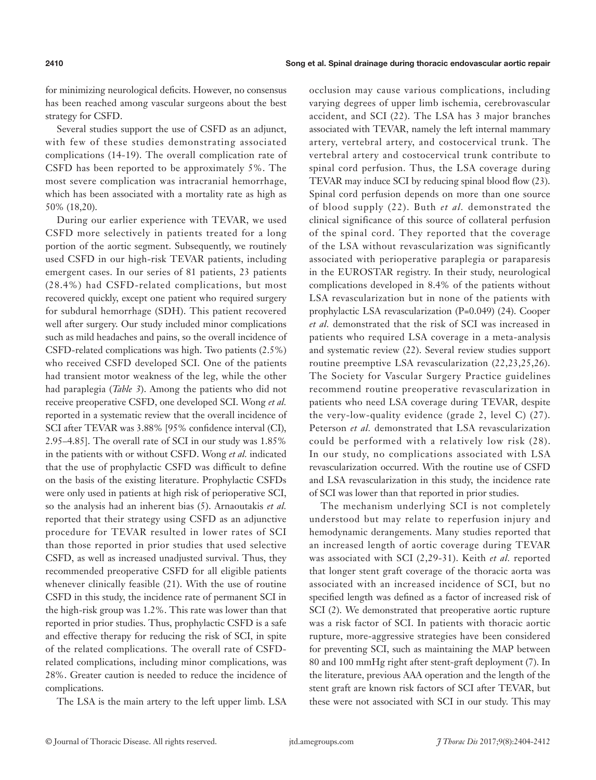for minimizing neurological deficits. However, no consensus has been reached among vascular surgeons about the best strategy for CSFD.

Several studies support the use of CSFD as an adjunct, with few of these studies demonstrating associated complications (14-19). The overall complication rate of CSFD has been reported to be approximately 5%. The most severe complication was intracranial hemorrhage, which has been associated with a mortality rate as high as 50% (18,20).

During our earlier experience with TEVAR, we used CSFD more selectively in patients treated for a long portion of the aortic segment. Subsequently, we routinely used CSFD in our high-risk TEVAR patients, including emergent cases. In our series of 81 patients, 23 patients (28.4%) had CSFD-related complications, but most recovered quickly, except one patient who required surgery for subdural hemorrhage (SDH). This patient recovered well after surgery. Our study included minor complications such as mild headaches and pains, so the overall incidence of CSFD-related complications was high. Two patients (2.5%) who received CSFD developed SCI. One of the patients had transient motor weakness of the leg, while the other had paraplegia (*Table 3*). Among the patients who did not receive preoperative CSFD, one developed SCI. Wong *et al.* reported in a systematic review that the overall incidence of SCI after TEVAR was 3.88% [95% confidence interval (CI), 2.95–4.85]. The overall rate of SCI in our study was 1.85% in the patients with or without CSFD. Wong *et al.* indicated that the use of prophylactic CSFD was difficult to define on the basis of the existing literature. Prophylactic CSFDs were only used in patients at high risk of perioperative SCI, so the analysis had an inherent bias (5). Arnaoutakis *et al.* reported that their strategy using CSFD as an adjunctive procedure for TEVAR resulted in lower rates of SCI than those reported in prior studies that used selective CSFD, as well as increased unadjusted survival. Thus, they recommended preoperative CSFD for all eligible patients whenever clinically feasible (21). With the use of routine CSFD in this study, the incidence rate of permanent SCI in the high-risk group was 1.2%. This rate was lower than that reported in prior studies. Thus, prophylactic CSFD is a safe and effective therapy for reducing the risk of SCI, in spite of the related complications. The overall rate of CSFDrelated complications, including minor complications, was 28%. Greater caution is needed to reduce the incidence of complications.

The LSA is the main artery to the left upper limb. LSA

occlusion may cause various complications, including varying degrees of upper limb ischemia, cerebrovascular accident, and SCI (22). The LSA has 3 major branches associated with TEVAR, namely the left internal mammary artery, vertebral artery, and costocervical trunk. The vertebral artery and costocervical trunk contribute to spinal cord perfusion. Thus, the LSA coverage during TEVAR may induce SCI by reducing spinal blood flow (23). Spinal cord perfusion depends on more than one source of blood supply (22). Buth *et al.* demonstrated the clinical significance of this source of collateral perfusion of the spinal cord. They reported that the coverage of the LSA without revascularization was significantly associated with perioperative paraplegia or paraparesis in the EUROSTAR registry. In their study, neurological complications developed in 8.4% of the patients without LSA revascularization but in none of the patients with prophylactic LSA revascularization (P=0.049) (24). Cooper *et al.* demonstrated that the risk of SCI was increased in patients who required LSA coverage in a meta-analysis and systematic review (22). Several review studies support routine preemptive LSA revascularization (22,23,25,26). The Society for Vascular Surgery Practice guidelines recommend routine preoperative revascularization in patients who need LSA coverage during TEVAR, despite the very-low-quality evidence (grade 2, level C) (27). Peterson *et al.* demonstrated that LSA revascularization could be performed with a relatively low risk (28). In our study, no complications associated with LSA revascularization occurred. With the routine use of CSFD and LSA revascularization in this study, the incidence rate of SCI was lower than that reported in prior studies.

The mechanism underlying SCI is not completely understood but may relate to reperfusion injury and hemodynamic derangements. Many studies reported that an increased length of aortic coverage during TEVAR was associated with SCI (2,29-31). Keith *et al.* reported that longer stent graft coverage of the thoracic aorta was associated with an increased incidence of SCI, but no specified length was defined as a factor of increased risk of SCI (2). We demonstrated that preoperative aortic rupture was a risk factor of SCI. In patients with thoracic aortic rupture, more-aggressive strategies have been considered for preventing SCI, such as maintaining the MAP between 80 and 100 mmHg right after stent-graft deployment (7). In the literature, previous AAA operation and the length of the stent graft are known risk factors of SCI after TEVAR, but these were not associated with SCI in our study. This may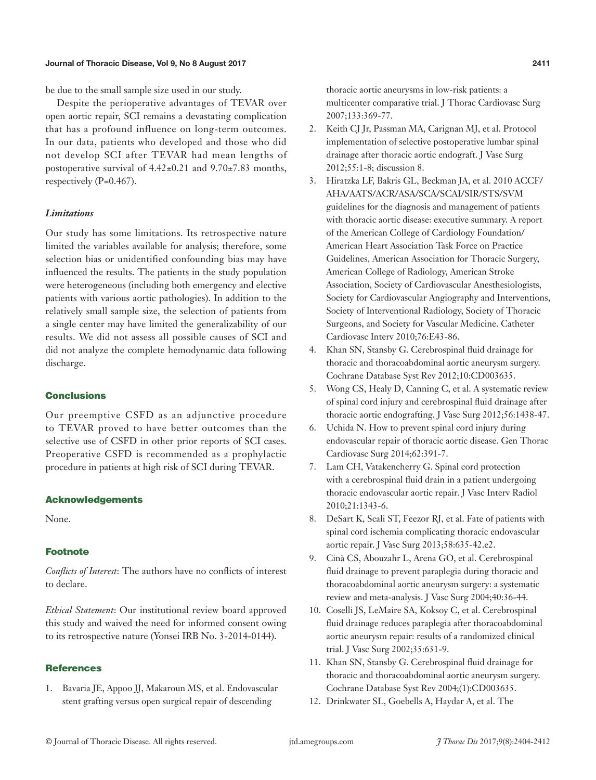#### Journal of Thoracic Disease, Vol 9, No 8 August 2017 2411

be due to the small sample size used in our study.

Despite the perioperative advantages of TEVAR over open aortic repair, SCI remains a devastating complication that has a profound influence on long-term outcomes. In our data, patients who developed and those who did not develop SCI after TEVAR had mean lengths of postoperative survival of 4.42±0.21 and 9.70±7.83 months, respectively (P=0.467).

#### *Limitations*

Our study has some limitations. Its retrospective nature limited the variables available for analysis; therefore, some selection bias or unidentified confounding bias may have influenced the results. The patients in the study population were heterogeneous (including both emergency and elective patients with various aortic pathologies). In addition to the relatively small sample size, the selection of patients from a single center may have limited the generalizability of our results. We did not assess all possible causes of SCI and did not analyze the complete hemodynamic data following discharge.

# **Conclusions**

Our preemptive CSFD as an adjunctive procedure to TEVAR proved to have better outcomes than the selective use of CSFD in other prior reports of SCI cases. Preoperative CSFD is recommended as a prophylactic procedure in patients at high risk of SCI during TEVAR.

#### Acknowledgements

None.

# Footnote

*Conflicts of Interest*: The authors have no conflicts of interest to declare.

*Ethical Statement*: Our institutional review board approved this study and waived the need for informed consent owing to its retrospective nature (Yonsei IRB No. 3-2014-0144).

#### **References**

1. Bavaria JE, Appoo JJ, Makaroun MS, et al. Endovascular stent grafting versus open surgical repair of descending

thoracic aortic aneurysms in low-risk patients: a multicenter comparative trial. J Thorac Cardiovasc Surg 2007;133:369-77.

- 2. Keith CJ Jr, Passman MA, Carignan MJ, et al. Protocol implementation of selective postoperative lumbar spinal drainage after thoracic aortic endograft. J Vasc Surg 2012;55:1-8; discussion 8.
- 3. Hiratzka LF, Bakris GL, Beckman JA, et al. 2010 ACCF/ AHA/AATS/ACR/ASA/SCA/SCAI/SIR/STS/SVM guidelines for the diagnosis and management of patients with thoracic aortic disease: executive summary. A report of the American College of Cardiology Foundation/ American Heart Association Task Force on Practice Guidelines, American Association for Thoracic Surgery, American College of Radiology, American Stroke Association, Society of Cardiovascular Anesthesiologists, Society for Cardiovascular Angiography and Interventions, Society of Interventional Radiology, Society of Thoracic Surgeons, and Society for Vascular Medicine. Catheter Cardiovasc Interv 2010;76:E43-86.
- 4. Khan SN, Stansby G. Cerebrospinal fluid drainage for thoracic and thoracoabdominal aortic aneurysm surgery. Cochrane Database Syst Rev 2012;10:CD003635.
- 5. Wong CS, Healy D, Canning C, et al. A systematic review of spinal cord injury and cerebrospinal fluid drainage after thoracic aortic endografting. J Vasc Surg 2012;56:1438-47.
- 6. Uchida N. How to prevent spinal cord injury during endovascular repair of thoracic aortic disease. Gen Thorac Cardiovasc Surg 2014;62:391-7.
- 7. Lam CH, Vatakencherry G. Spinal cord protection with a cerebrospinal fluid drain in a patient undergoing thoracic endovascular aortic repair. J Vasc Interv Radiol 2010;21:1343-6.
- 8. DeSart K, Scali ST, Feezor RJ, et al. Fate of patients with spinal cord ischemia complicating thoracic endovascular aortic repair. J Vasc Surg 2013;58:635-42.e2.
- 9. Cinà CS, Abouzahr L, Arena GO, et al. Cerebrospinal fluid drainage to prevent paraplegia during thoracic and thoracoabdominal aortic aneurysm surgery: a systematic review and meta-analysis. J Vasc Surg 2004;40:36-44.
- 10. Coselli JS, LeMaire SA, Koksoy C, et al. Cerebrospinal fluid drainage reduces paraplegia after thoracoabdominal aortic aneurysm repair: results of a randomized clinical trial. J Vasc Surg 2002;35:631-9.
- 11. Khan SN, Stansby G. Cerebrospinal fluid drainage for thoracic and thoracoabdominal aortic aneurysm surgery. Cochrane Database Syst Rev 2004;(1):CD003635.
- 12. Drinkwater SL, Goebells A, Haydar A, et al. The